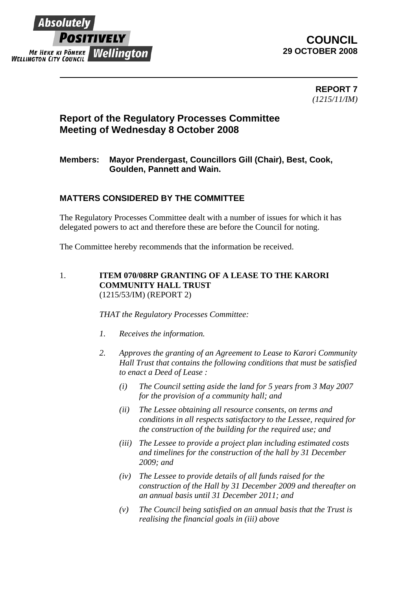

## **COUNCIL 29 OCTOBER 2008**

**REPORT 7**  *(1215/11/IM)* 

## **Report of the Regulatory Processes Committee Meeting of Wednesday 8 October 2008**

### **Members: Mayor Prendergast, Councillors Gill (Chair), Best, Cook, Goulden, Pannett and Wain.**

### **MATTERS CONSIDERED BY THE COMMITTEE**

The Regulatory Processes Committee dealt with a number of issues for which it has delegated powers to act and therefore these are before the Council for noting.

The Committee hereby recommends that the information be received.

#### 1. **ITEM 070/08RP GRANTING OF A LEASE TO THE KARORI COMMUNITY HALL TRUST** (1215/53/IM) (REPORT 2)

*THAT the Regulatory Processes Committee:* 

- *1. Receives the information.*
- *2. Approves the granting of an Agreement to Lease to Karori Community Hall Trust that contains the following conditions that must be satisfied to enact a Deed of Lease :* 
	- *(i) The Council setting aside the land for 5 years from 3 May 2007 for the provision of a community hall; and*
	- *(ii) The Lessee obtaining all resource consents, on terms and conditions in all respects satisfactory to the Lessee, required for the construction of the building for the required use; and*
	- *(iii) The Lessee to provide a project plan including estimated costs and timelines for the construction of the hall by 31 December 2009; and*
	- *(iv) The Lessee to provide details of all funds raised for the construction of the Hall by 31 December 2009 and thereafter on an annual basis until 31 December 2011; and*
	- *(v) The Council being satisfied on an annual basis that the Trust is realising the financial goals in (iii) above*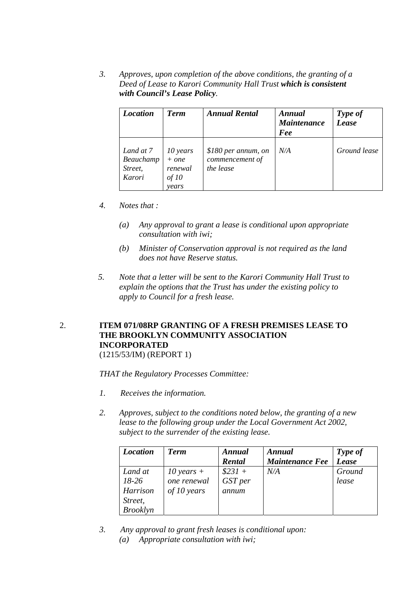*3. Approves, upon completion of the above conditions, the granting of a Deed of Lease to Karori Community Hall Trust which is consistent with Council's Lease Policy.* 

| <b>Location</b>                             | <b>Term</b>                                      | <b>Annual Rental</b>                                | Annual<br><b>Maintenance</b><br>Fee | Type of<br>Lease |
|---------------------------------------------|--------------------------------------------------|-----------------------------------------------------|-------------------------------------|------------------|
| Land at 7<br>Beauchamp<br>Street,<br>Karori | 10 years<br>$+ one$<br>renewal<br>of 10<br>vears | \$180 per annum, on<br>commencement of<br>the lease | N/A                                 | Ground lease     |

- *4. Notes that :* 
	- *(a) Any approval to grant a lease is conditional upon appropriate consultation with iwi;*
	- *(b) Minister of Conservation approval is not required as the land does not have Reserve status.*
- *5. Note that a letter will be sent to the Karori Community Hall Trust to explain the options that the Trust has under the existing policy to apply to Council for a fresh lease.*

# 2. **ITEM 071/08RP GRANTING OF A FRESH PREMISES LEASE TO THE BROOKLYN COMMUNITY ASSOCIATION INCORPORATED**

(1215/53/IM) (REPORT 1)

*THAT the Regulatory Processes Committee:* 

- *1. Receives the information.*
- *2. Approves, subject to the conditions noted below, the granting of a new lease to the following group under the Local Government Act 2002, subject to the surrender of the existing lease.*

| <b>Location</b> | <b>Term</b>  | Annual   | Annual                 | Type of      |
|-----------------|--------------|----------|------------------------|--------------|
|                 |              | Rental   | <b>Maintenance Fee</b> | <b>Lease</b> |
| Land at         | 10 years $+$ | $$231 +$ | N/A                    | Ground       |
| $18-26$         | one renewal  | GST per  |                        | lease        |
| Harrison        | of 10 years  | annum    |                        |              |
| Street,         |              |          |                        |              |
| <b>Brooklyn</b> |              |          |                        |              |

*3. Any approval to grant fresh leases is conditional upon: (a) Appropriate consultation with iwi;*